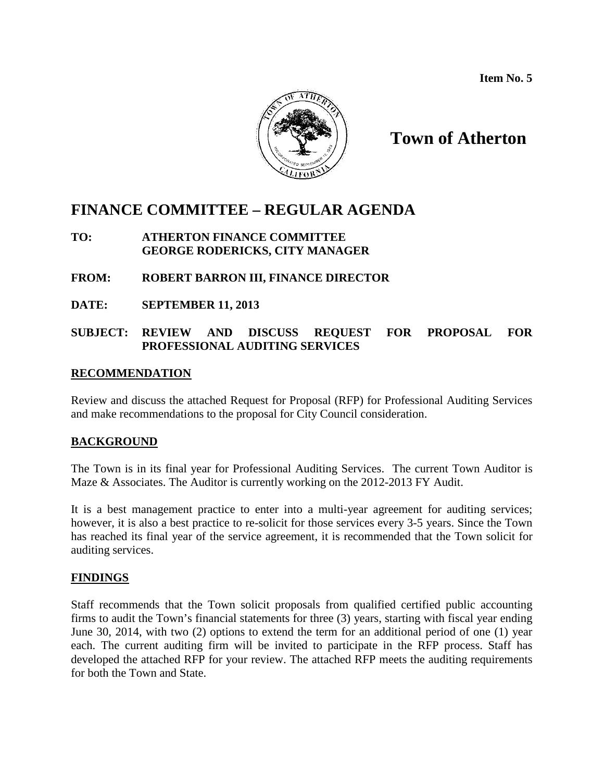**Item No. 5**



**Town of Atherton**

# **FINANCE COMMITTEE – REGULAR AGENDA**

**TO: ATHERTON FINANCE COMMITTEE GEORGE RODERICKS, CITY MANAGER**

# **FROM: ROBERT BARRON III, FINANCE DIRECTOR**

**DATE: SEPTEMBER 11, 2013**

# **SUBJECT: REVIEW AND DISCUSS REQUEST FOR PROPOSAL FOR PROFESSIONAL AUDITING SERVICES**

# **RECOMMENDATION**

Review and discuss the attached Request for Proposal (RFP) for Professional Auditing Services and make recommendations to the proposal for City Council consideration.

# **BACKGROUND**

The Town is in its final year for Professional Auditing Services. The current Town Auditor is Maze & Associates. The Auditor is currently working on the 2012-2013 FY Audit.

It is a best management practice to enter into a multi-year agreement for auditing services; however, it is also a best practice to re-solicit for those services every 3-5 years. Since the Town has reached its final year of the service agreement, it is recommended that the Town solicit for auditing services.

# **FINDINGS**

Staff recommends that the Town solicit proposals from qualified certified public accounting firms to audit the Town's financial statements for three (3) years, starting with fiscal year ending June 30, 2014, with two (2) options to extend the term for an additional period of one (1) year each. The current auditing firm will be invited to participate in the RFP process. Staff has developed the attached RFP for your review. The attached RFP meets the auditing requirements for both the Town and State.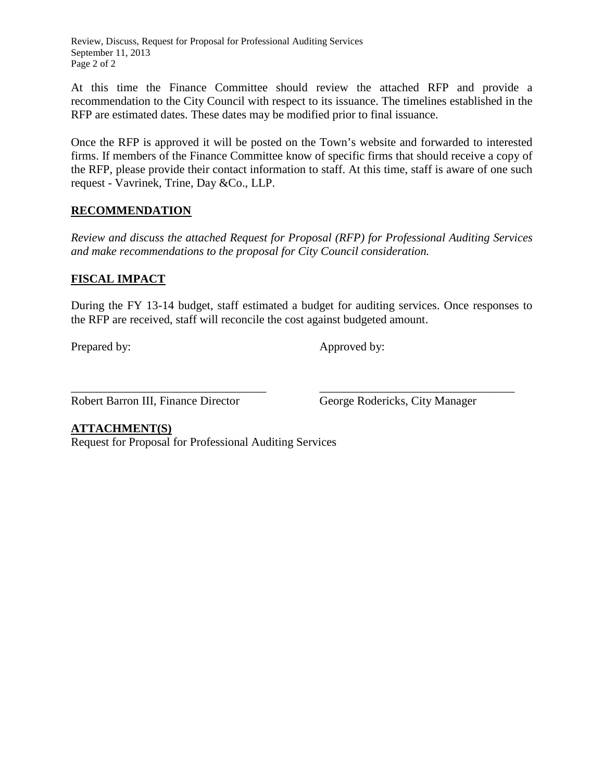Review, Discuss, Request for Proposal for Professional Auditing Services September 11, 2013 Page 2 of 2

At this time the Finance Committee should review the attached RFP and provide a recommendation to the City Council with respect to its issuance. The timelines established in the RFP are estimated dates. These dates may be modified prior to final issuance.

Once the RFP is approved it will be posted on the Town's website and forwarded to interested firms. If members of the Finance Committee know of specific firms that should receive a copy of the RFP, please provide their contact information to staff. At this time, staff is aware of one such request - Vavrinek, Trine, Day &Co., LLP.

# **RECOMMENDATION**

*Review and discuss the attached Request for Proposal (RFP) for Professional Auditing Services and make recommendations to the proposal for City Council consideration.* 

# **FISCAL IMPACT**

During the FY 13-14 budget, staff estimated a budget for auditing services. Once responses to the RFP are received, staff will reconcile the cost against budgeted amount.

Prepared by: Approved by:

\_\_\_\_\_\_\_\_\_\_\_\_\_\_\_\_\_\_\_\_\_\_\_\_\_\_\_\_\_\_\_\_\_ \_\_\_\_\_\_\_\_\_\_\_\_\_\_\_\_\_\_\_\_\_\_\_\_\_\_\_\_\_\_\_\_\_ Robert Barron III, Finance Director George Rodericks, City Manager

# **ATTACHMENT(S)**

Request for Proposal for Professional Auditing Services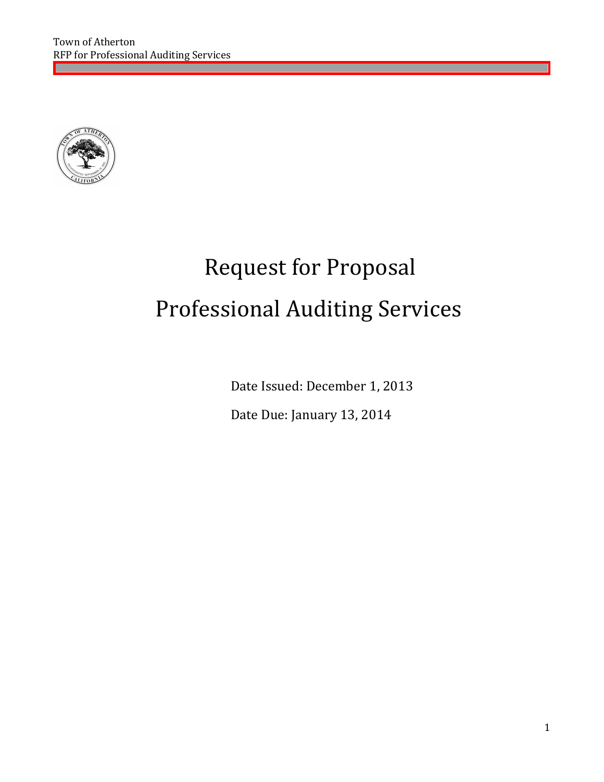

# Request for Proposal Professional Auditing Services

Date Issued: December 1, 2013

Date Due: January 13, 2014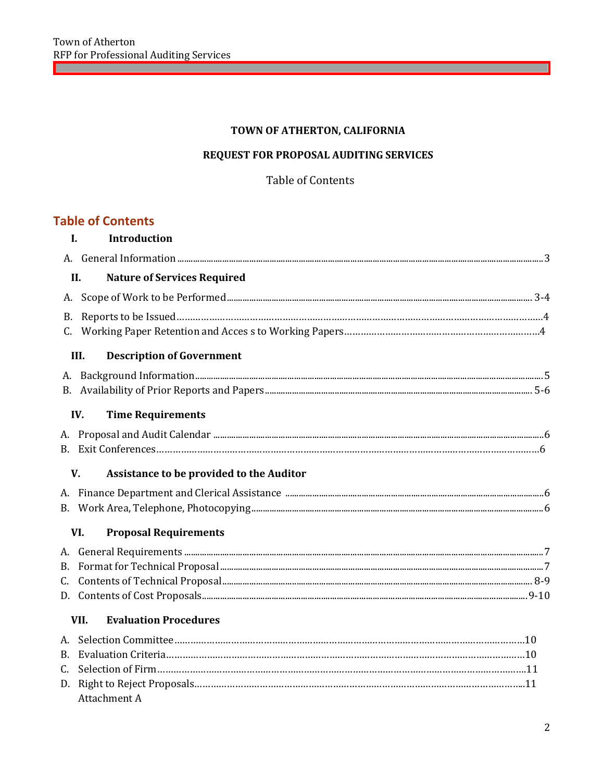# TOWN OF ATHERTON, CALIFORNIA

<u> 1989 - Johann Stoff, deutscher Stoffen und der Stoffen und der Stoffen und der Stoffen und der Stoffen und der</u>

# REQUEST FOR PROPOSAL AUDITING SERVICES

# Table of Contents

# **Table of Contents**

| I. | Introduction                                   |  |
|----|------------------------------------------------|--|
|    |                                                |  |
|    | <b>Nature of Services Required</b><br>II.      |  |
|    |                                                |  |
| B. |                                                |  |
|    |                                                |  |
|    | <b>Description of Government</b><br>III.       |  |
|    |                                                |  |
|    |                                                |  |
|    | <b>Time Requirements</b><br>IV.                |  |
|    |                                                |  |
|    |                                                |  |
|    | V.<br>Assistance to be provided to the Auditor |  |
|    |                                                |  |
|    |                                                |  |
|    | <b>Proposal Requirements</b><br>VI.            |  |
|    |                                                |  |
| B. |                                                |  |
|    |                                                |  |
|    |                                                |  |
|    | <b>Evaluation Procedures</b><br>VII.           |  |
|    |                                                |  |
| В. |                                                |  |
| C. |                                                |  |
| D. |                                                |  |
|    | Attachment A                                   |  |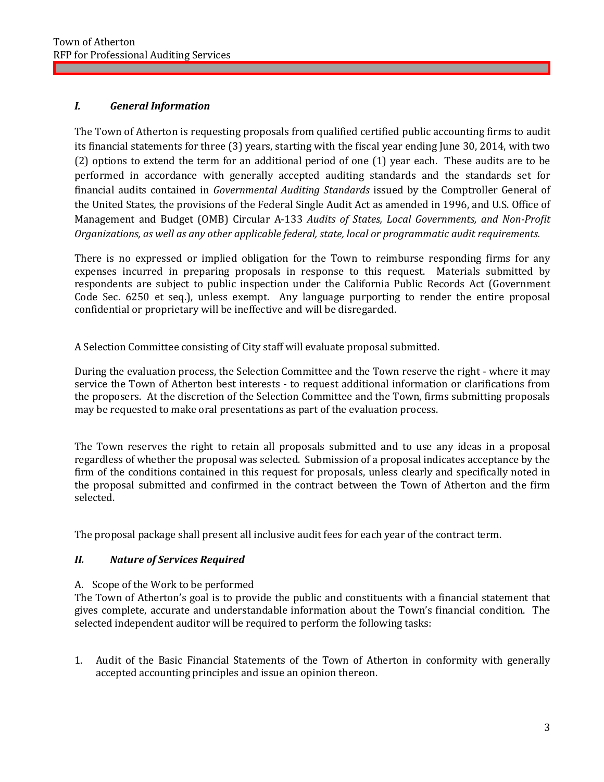# *I. General Information*

The Town of Atherton is requesting proposals from qualified certified public accounting firms to audit its financial statements for three (3) years, starting with the fiscal year ending June 30, 2014, with two (2) options to extend the term for an additional period of one (1) year each. These audits are to be performed in accordance with generally accepted auditing standards and the standards set for financial audits contained in *Governmental Auditing Standards* issued by the Comptroller General of the United States*,* the provisions of the Federal Single Audit Act as amended in 1996, and U.S. Office of Management and Budget (OMB) Circular A-133 *Audits of States, Local Governments, and Non-Profit Organizations, as well as any other applicable federal, state, local or programmatic audit requirements.*

There is no expressed or implied obligation for the Town to reimburse responding firms for any expenses incurred in preparing proposals in response to this request. Materials submitted by respondents are subject to public inspection under the California Public Records Act (Government Code Sec. 6250 et seq.), unless exempt. Any language purporting to render the entire proposal confidential or proprietary will be ineffective and will be disregarded.

A Selection Committee consisting of City staff will evaluate proposal submitted.

During the evaluation process, the Selection Committee and the Town reserve the right - where it may service the Town of Atherton best interests - to request additional information or clarifications from the proposers. At the discretion of the Selection Committee and the Town, firms submitting proposals may be requested to make oral presentations as part of the evaluation process.

The Town reserves the right to retain all proposals submitted and to use any ideas in a proposal regardless of whether the proposal was selected. Submission of a proposal indicates acceptance by the firm of the conditions contained in this request for proposals, unless clearly and specifically noted in the proposal submitted and confirmed in the contract between the Town of Atherton and the firm selected.

The proposal package shall present all inclusive audit fees for each year of the contract term.

# *II. Nature of Services Required*

# A. Scope of the Work to be performed

The Town of Atherton's goal is to provide the public and constituents with a financial statement that gives complete, accurate and understandable information about the Town's financial condition. The selected independent auditor will be required to perform the following tasks:

1. Audit of the Basic Financial Statements of the Town of Atherton in conformity with generally accepted accounting principles and issue an opinion thereon.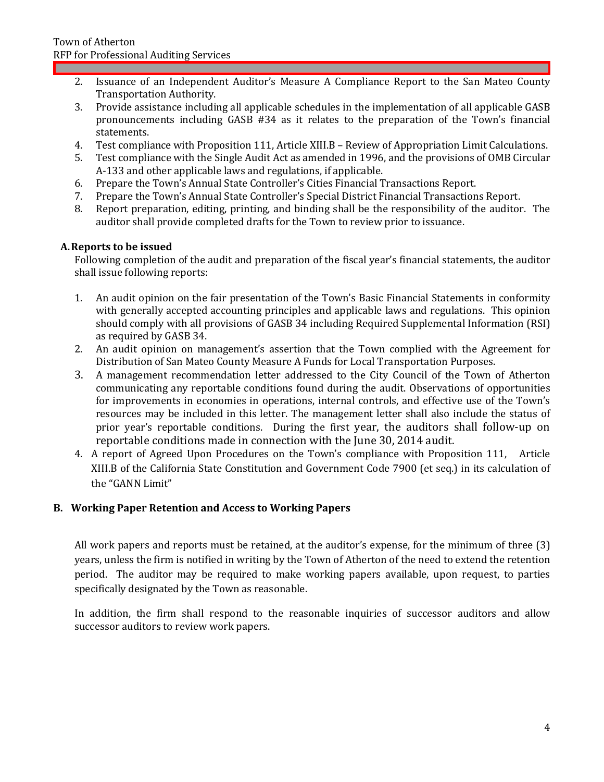- 2. Issuance of an Independent Auditor's Measure A Compliance Report to the San Mateo County Transportation Authority.
- 3. Provide assistance including all applicable schedules in the implementation of all applicable GASB pronouncements including GASB #34 as it relates to the preparation of the Town's financial statements.
- 4. Test compliance with Proposition 111, Article XIII.B Review of Appropriation Limit Calculations.
- Test compliance with the Single Audit Act as amended in 1996, and the provisions of OMB Circular A-133 and other applicable laws and regulations, if applicable.
- 6. Prepare the Town's Annual State Controller's Cities Financial Transactions Report.
- 7. Prepare the Town's Annual State Controller's Special District Financial Transactions Report.
- 8. Report preparation, editing, printing, and binding shall be the responsibility of the auditor. The auditor shall provide completed drafts for the Town to review prior to issuance.

# **A.Reports to be issued**

Following completion of the audit and preparation of the fiscal year's financial statements, the auditor shall issue following reports:

- 1. An audit opinion on the fair presentation of the Town's Basic Financial Statements in conformity with generally accepted accounting principles and applicable laws and regulations. This opinion should comply with all provisions of GASB 34 including Required Supplemental Information (RSI) as required by GASB 34.
- 2. An audit opinion on management's assertion that the Town complied with the Agreement for Distribution of San Mateo County Measure A Funds for Local Transportation Purposes.
- 3. A management recommendation letter addressed to the City Council of the Town of Atherton communicating any reportable conditions found during the audit. Observations of opportunities for improvements in economies in operations, internal controls, and effective use of the Town's resources may be included in this letter. The management letter shall also include the status of prior year's reportable conditions. During the first year, the auditors shall follow-up on reportable conditions made in connection with the June 30, 2014 audit.
- 4. A report of Agreed Upon Procedures on the Town's compliance with Proposition 111, Article XIII.B of the California State Constitution and Government Code 7900 (et seq.) in its calculation of the "GANN Limit"

# **B. Working Paper Retention and Access to Working Papers**

All work papers and reports must be retained, at the auditor's expense, for the minimum of three (3) years, unless the firm is notified in writing by the Town of Atherton of the need to extend the retention period. The auditor may be required to make working papers available, upon request, to parties specifically designated by the Town as reasonable.

In addition, the firm shall respond to the reasonable inquiries of successor auditors and allow successor auditors to review work papers.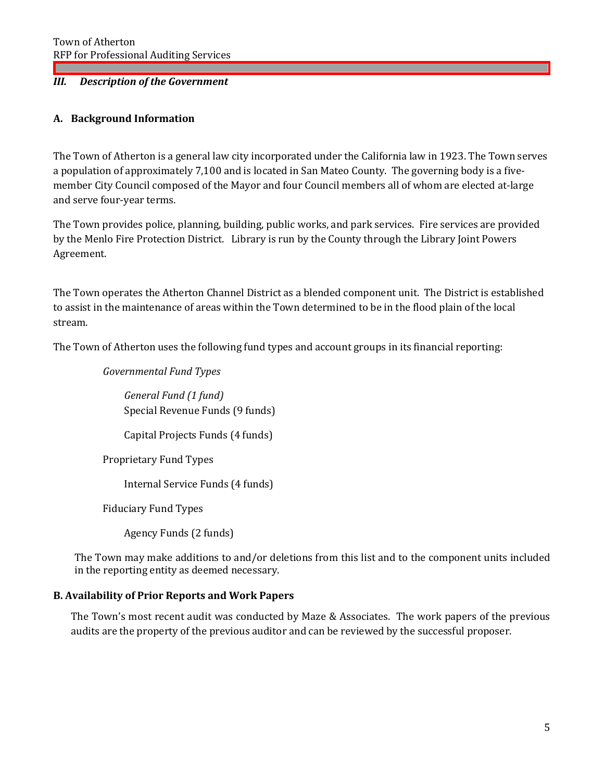# *III. Description of the Government*

# **A. Background Information**

The Town of Atherton is a general law city incorporated under the California law in 1923. The Town serves a population of approximately 7,100 and is located in San Mateo County. The governing body is a fivemember City Council composed of the Mayor and four Council members all of whom are elected at-large and serve four-year terms.

The Town provides police, planning, building, public works, and park services. Fire services are provided by the Menlo Fire Protection District. Library is run by the County through the Library Joint Powers Agreement.

The Town operates the Atherton Channel District as a blended component unit. The District is established to assist in the maintenance of areas within the Town determined to be in the flood plain of the local stream.

The Town of Atherton uses the following fund types and account groups in its financial reporting:

*Governmental Fund Types*

*General Fund (1 fund)* Special Revenue Funds (9 funds)

Capital Projects Funds (4 funds)

Proprietary Fund Types

Internal Service Funds (4 funds)

Fiduciary Fund Types

Agency Funds (2 funds)

The Town may make additions to and/or deletions from this list and to the component units included in the reporting entity as deemed necessary.

# **B. Availability of Prior Reports and Work Papers**

The Town's most recent audit was conducted by Maze & Associates. The work papers of the previous audits are the property of the previous auditor and can be reviewed by the successful proposer.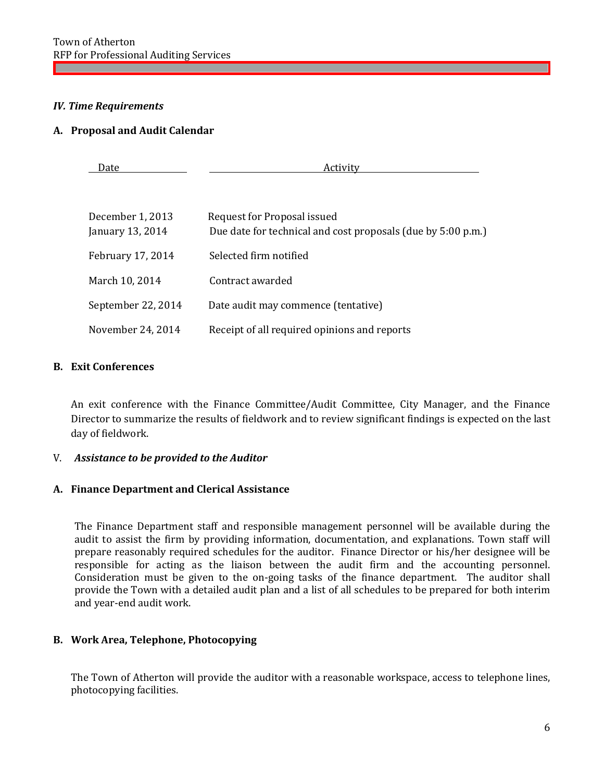# *IV. Time Requirements*

#### **A. Proposal and Audit Calendar**

| Date                                 | Activity                                                                                    |  |
|--------------------------------------|---------------------------------------------------------------------------------------------|--|
| December 1, 2013<br>January 13, 2014 | Request for Proposal issued<br>Due date for technical and cost proposals (due by 5:00 p.m.) |  |
| February 17, 2014                    | Selected firm notified                                                                      |  |
| March 10, 2014                       | Contract awarded                                                                            |  |
| September 22, 2014                   | Date audit may commence (tentative)                                                         |  |
| November 24, 2014                    | Receipt of all required opinions and reports                                                |  |

# **B. Exit Conferences**

An exit conference with the Finance Committee/Audit Committee, City Manager, and the Finance Director to summarize the results of fieldwork and to review significant findings is expected on the last day of fieldwork.

# V. *Assistance to be provided to the Auditor*

# **A. Finance Department and Clerical Assistance**

The Finance Department staff and responsible management personnel will be available during the audit to assist the firm by providing information, documentation, and explanations. Town staff will prepare reasonably required schedules for the auditor. Finance Director or his/her designee will be responsible for acting as the liaison between the audit firm and the accounting personnel. Consideration must be given to the on-going tasks of the finance department. The auditor shall provide the Town with a detailed audit plan and a list of all schedules to be prepared for both interim and year-end audit work.

# **B. Work Area, Telephone, Photocopying**

The Town of Atherton will provide the auditor with a reasonable workspace, access to telephone lines, photocopying facilities.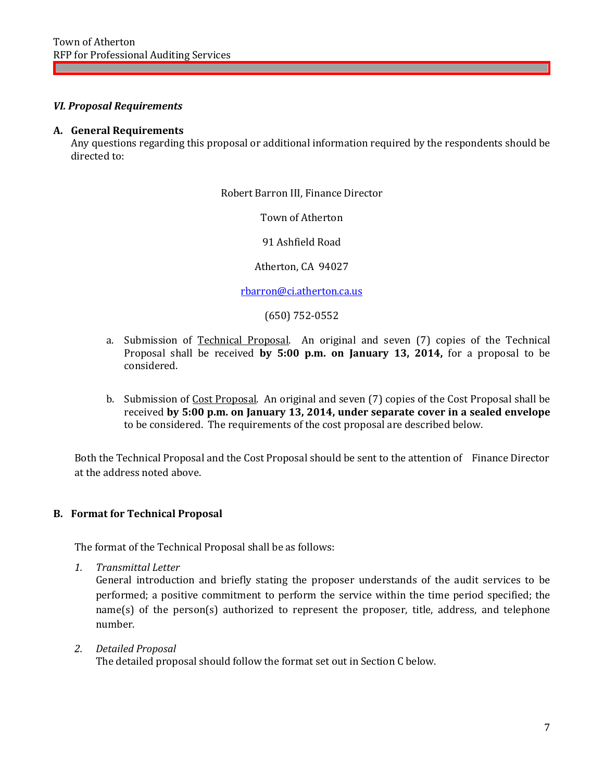#### *VI. Proposal Requirements*

#### **A. General Requirements**

Any questions regarding this proposal or additional information required by the respondents should be directed to:

Robert Barron III, Finance Director

Town of Atherton

91 Ashfield Road

Atherton, CA 94027

[rbarron@ci.atherton.ca.us](mailto:lho@ci.atherton.ca.us)

(650) 752-0552

- a. Submission of Technical Proposal. An original and seven (7) copies of the Technical Proposal shall be received **by 5:00 p.m. on January 13, 2014,** for a proposal to be considered.
- b. Submission of Cost Proposal. An original and seven (7) copies of the Cost Proposal shall be received **by 5:00 p.m. on January 13, 2014, under separate cover in a sealed envelope**  to be considered. The requirements of the cost proposal are described below.

Both the Technical Proposal and the Cost Proposal should be sent to the attention of Finance Director at the address noted above.

#### **B. Format for Technical Proposal**

The format of the Technical Proposal shall be as follows:

*1. Transmittal Letter*

General introduction and briefly stating the proposer understands of the audit services to be performed; a positive commitment to perform the service within the time period specified; the name(s) of the person(s) authorized to represent the proposer, title, address, and telephone number.

*2. Detailed Proposal*

The detailed proposal should follow the format set out in Section C below.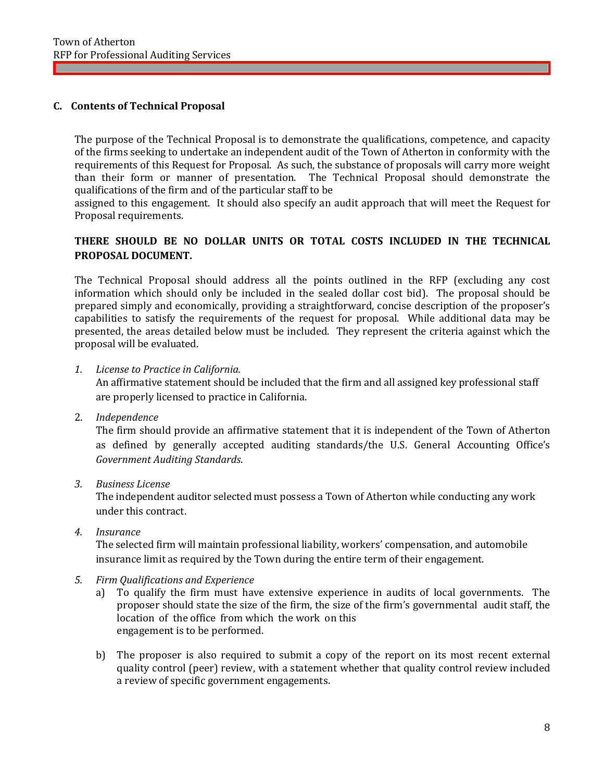# **C. Contents of Technical Proposal**

The purpose of the Technical Proposal is to demonstrate the qualifications, competence, and capacity of the firms seeking to undertake an independent audit of the Town of Atherton in conformity with the requirements of this Request for Proposal. As such, the substance of proposals will carry more weight than their form or manner of presentation. The Technical Proposal should demonstrate the qualifications of the firm and of the particular staff to be

assigned to this engagement. It should also specify an audit approach that will meet the Request for Proposal requirements.

# **THERE SHOULD BE NO DOLLAR UNITS OR TOTAL COSTS INCLUDED IN THE TECHNICAL PROPOSAL DOCUMENT.**

The Technical Proposal should address all the points outlined in the RFP (excluding any cost information which should only be included in the sealed dollar cost bid). The proposal should be prepared simply and economically, providing a straightforward, concise description of the proposer's capabilities to satisfy the requirements of the request for proposal. While additional data may be presented, the areas detailed below must be included. They represent the criteria against which the proposal will be evaluated.

*1. License to Practice in California.* 

An affirmative statement should be included that the firm and all assigned key professional staff are properly licensed to practice in California.

2. *Independence*

The firm should provide an affirmative statement that it is independent of the Town of Atherton as defined by generally accepted auditing standards/the U.S. General Accounting Office's *Government Auditing Standards*.

*3. Business License*

The independent auditor selected must possess a Town of Atherton while conducting any work under this contract.

*4. Insurance*

The selected firm will maintain professional liability, workers' compensation, and automobile insurance limit as required by the Town during the entire term of their engagement.

- *5. Firm Qualifications and Experience*
	- a) To qualify the firm must have extensive experience in audits of local governments. The proposer should state the size of the firm, the size of the firm's governmental audit staff, the location of the office from which the work on this engagement is to be performed.
	- b) The proposer is also required to submit a copy of the report on its most recent external quality control (peer) review, with a statement whether that quality control review included a review of specific government engagements.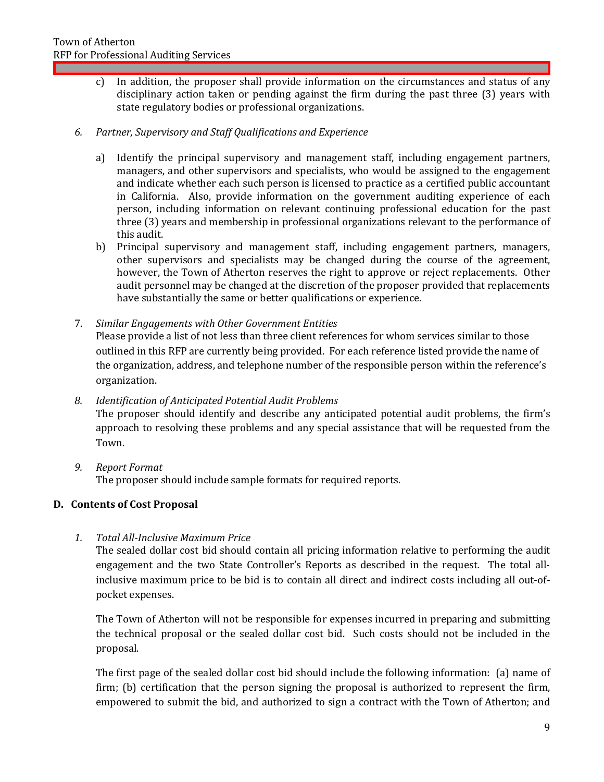c) In addition, the proposer shall provide information on the circumstances and status of any disciplinary action taken or pending against the firm during the past three (3) years with state regulatory bodies or professional organizations.

# *6. Partner, Supervisory and Staff Qualifications and Experience*

- a) Identify the principal supervisory and management staff, including engagement partners, managers, and other supervisors and specialists, who would be assigned to the engagement and indicate whether each such person is licensed to practice as a certified public accountant in California. Also, provide information on the government auditing experience of each person, including information on relevant continuing professional education for the past three (3) years and membership in professional organizations relevant to the performance of this audit.
- b) Principal supervisory and management staff, including engagement partners, managers, other supervisors and specialists may be changed during the course of the agreement, however, the Town of Atherton reserves the right to approve or reject replacements. Other audit personnel may be changed at the discretion of the proposer provided that replacements have substantially the same or better qualifications or experience.
- 7. *Similar Engagements with Other Government Entities*

Please provide a list of not less than three client references for whom services similar to those outlined in this RFP are currently being provided. For each reference listed provide the name of the organization, address, and telephone number of the responsible person within the reference's organization.

# *8. Identification of Anticipated Potential Audit Problems*

The proposer should identify and describe any anticipated potential audit problems, the firm's approach to resolving these problems and any special assistance that will be requested from the Town.

*9. Report Format* The proposer should include sample formats for required reports.

# **D. Contents of Cost Proposal**

*1. Total All-Inclusive Maximum Price*

The sealed dollar cost bid should contain all pricing information relative to performing the audit engagement and the two State Controller's Reports as described in the request. The total allinclusive maximum price to be bid is to contain all direct and indirect costs including all out-ofpocket expenses.

The Town of Atherton will not be responsible for expenses incurred in preparing and submitting the technical proposal or the sealed dollar cost bid. Such costs should not be included in the proposal.

The first page of the sealed dollar cost bid should include the following information: (a) name of firm; (b) certification that the person signing the proposal is authorized to represent the firm, empowered to submit the bid, and authorized to sign a contract with the Town of Atherton; and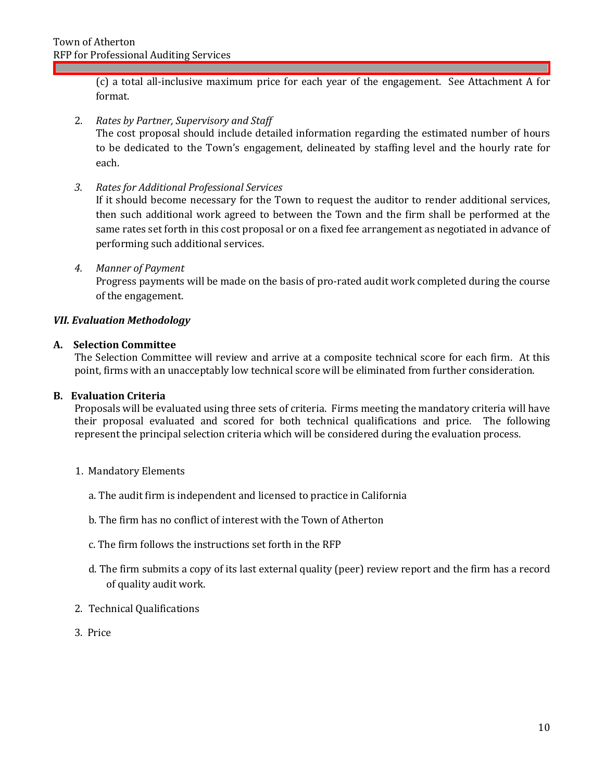(c) a total all-inclusive maximum price for each year of the engagement. See Attachment A for format.

2. *Rates by Partner, Supervisory and Staff*

The cost proposal should include detailed information regarding the estimated number of hours to be dedicated to the Town's engagement, delineated by staffing level and the hourly rate for each.

*3. Rates for Additional Professional Services*

If it should become necessary for the Town to request the auditor to render additional services, then such additional work agreed to between the Town and the firm shall be performed at the same rates set forth in this cost proposal or on a fixed fee arrangement as negotiated in advance of performing such additional services.

#### *4. Manner of Payment*

Progress payments will be made on the basis of pro-rated audit work completed during the course of the engagement.

#### *VII. Evaluation Methodology*

#### **A. Selection Committee**

The Selection Committee will review and arrive at a composite technical score for each firm. At this point, firms with an unacceptably low technical score will be eliminated from further consideration.

#### **B. Evaluation Criteria**

Proposals will be evaluated using three sets of criteria. Firms meeting the mandatory criteria will have their proposal evaluated and scored for both technical qualifications and price. The following represent the principal selection criteria which will be considered during the evaluation process.

- 1. Mandatory Elements
	- a. The audit firm is independent and licensed to practice in California
	- b. The firm has no conflict of interest with the Town of Atherton
	- c. The firm follows the instructions set forth in the RFP
	- d. The firm submits a copy of its last external quality (peer) review report and the firm has a record of quality audit work.
- 2. Technical Qualifications
- 3. Price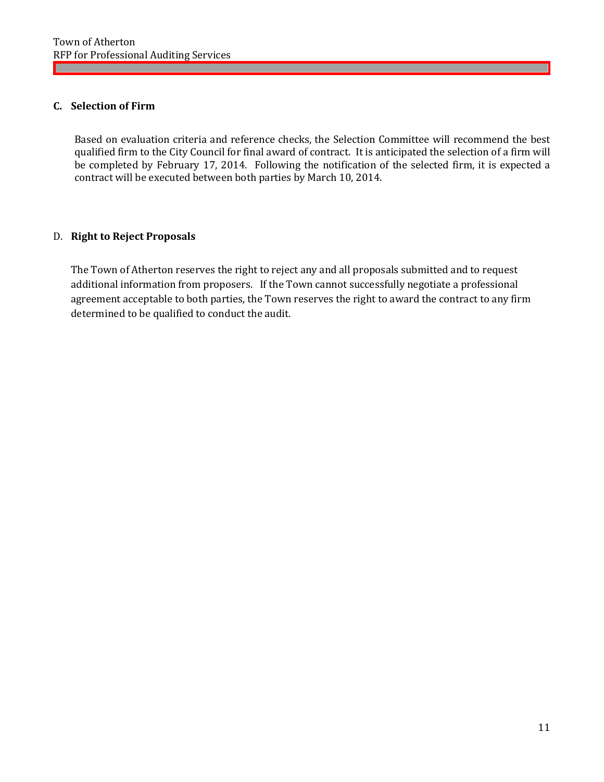# **C. Selection of Firm**

Based on evaluation criteria and reference checks, the Selection Committee will recommend the best qualified firm to the City Council for final award of contract. It is anticipated the selection of a firm will be completed by February 17, 2014. Following the notification of the selected firm, it is expected a contract will be executed between both parties by March 10, 2014.

# D. **Right to Reject Proposals**

The Town of Atherton reserves the right to reject any and all proposals submitted and to request additional information from proposers. If the Town cannot successfully negotiate a professional agreement acceptable to both parties, the Town reserves the right to award the contract to any firm determined to be qualified to conduct the audit.